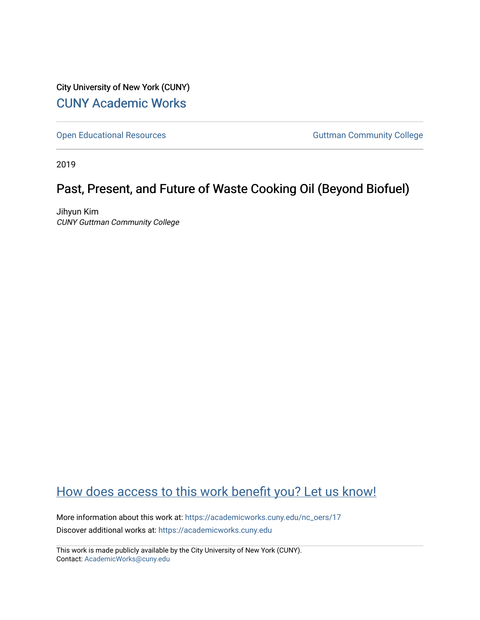City University of New York (CUNY) [CUNY Academic Works](https://academicworks.cuny.edu/) 

[Open Educational Resources](https://academicworks.cuny.edu/nc_oers) and Community College Guttman Community College

2019

# Past, Present, and Future of Waste Cooking Oil (Beyond Biofuel)

Jihyun Kim CUNY Guttman Community College

# [How does access to this work benefit you? Let us know!](http://ols.cuny.edu/academicworks/?ref=https://academicworks.cuny.edu/nc_oers/17)

More information about this work at: [https://academicworks.cuny.edu/nc\\_oers/17](https://academicworks.cuny.edu/nc_oers/17) Discover additional works at: [https://academicworks.cuny.edu](https://academicworks.cuny.edu/?)

This work is made publicly available by the City University of New York (CUNY). Contact: [AcademicWorks@cuny.edu](mailto:AcademicWorks@cuny.edu)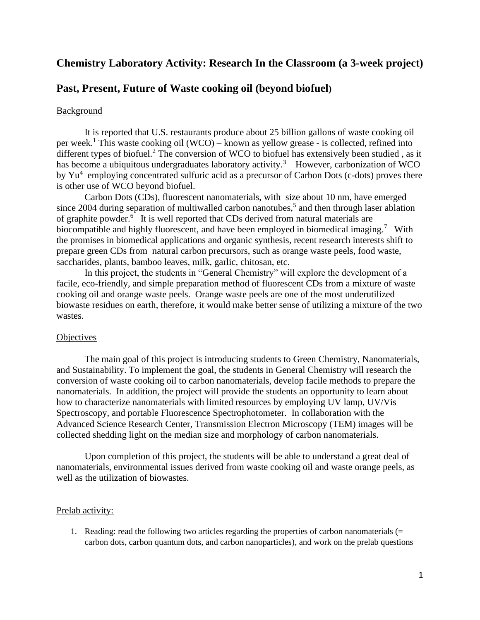# **Chemistry Laboratory Activity: Research In the Classroom (a 3-week project)**

## **Past, Present, Future of Waste cooking oil (beyond biofuel)**

#### **Background**

It is reported that U.S. restaurants produce about 25 billion gallons of waste cooking oil per week.<sup>1</sup> This waste cooking oil (WCO) – known as yellow grease - is collected, refined into different types of biofuel.<sup>2</sup> The conversion of WCO to biofuel has extensively been studied, as it has become a ubiquitous undergraduates laboratory activity.<sup>3</sup> However, carbonization of WCO by Yu<sup>4</sup> employing concentrated sulfuric acid as a precursor of Carbon Dots (c-dots) proves there is other use of WCO beyond biofuel.

Carbon Dots (CDs), fluorescent nanomaterials, with size about 10 nm, have emerged since 2004 during separation of multiwalled carbon nanotubes,<sup>5</sup> and then through laser ablation of graphite powder.<sup>6</sup> It is well reported that CDs derived from natural materials are biocompatible and highly fluorescent, and have been employed in biomedical imaging.<sup>7</sup> With the promises in biomedical applications and organic synthesis, recent research interests shift to prepare green CDs from natural carbon precursors, such as orange waste peels, food waste, saccharides, plants, bamboo leaves, milk, garlic, chitosan, etc.

In this project, the students in "General Chemistry" will explore the development of a facile, eco-friendly, and simple preparation method of fluorescent CDs from a mixture of waste cooking oil and orange waste peels. Orange waste peels are one of the most underutilized biowaste residues on earth, therefore, it would make better sense of utilizing a mixture of the two wastes.

#### **Objectives**

The main goal of this project is introducing students to Green Chemistry, Nanomaterials, and Sustainability. To implement the goal, the students in General Chemistry will research the conversion of waste cooking oil to carbon nanomaterials, develop facile methods to prepare the nanomaterials. In addition, the project will provide the students an opportunity to learn about how to characterize nanomaterials with limited resources by employing UV lamp, UV/Vis Spectroscopy, and portable Fluorescence Spectrophotometer. In collaboration with the Advanced Science Research Center, Transmission Electron Microscopy (TEM) images will be collected shedding light on the median size and morphology of carbon nanomaterials.

Upon completion of this project, the students will be able to understand a great deal of nanomaterials, environmental issues derived from waste cooking oil and waste orange peels, as well as the utilization of biowastes.

#### Prelab activity:

1. Reading: read the following two articles regarding the properties of carbon nanomaterials  $(=$ carbon dots, carbon quantum dots, and carbon nanoparticles), and work on the prelab questions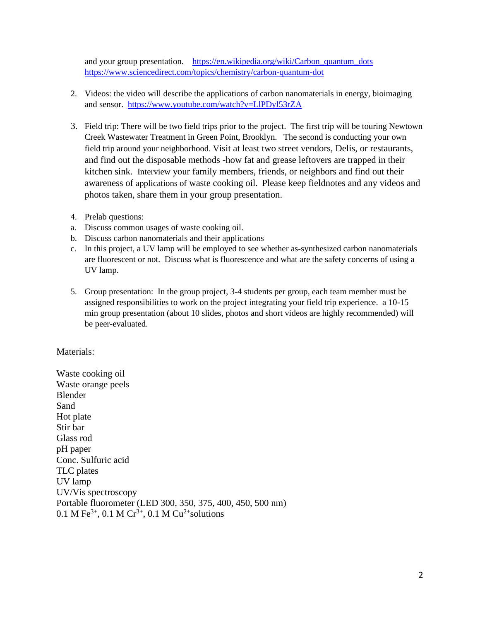and your group presentation. https://en.wikipedia.org/wiki/Carbon\_quantum\_dots <https://www.sciencedirect.com/topics/chemistry/carbon-quantum-dot>

- 2. Videos: the video will describe the applications of carbon nanomaterials in energy, bioimaging and sensor. <https://www.youtube.com/watch?v=LlPDyl53rZA>
- 3. Field trip: There will be two field trips prior to the project. The first trip will be touring Newtown Creek Wastewater Treatment in Green Point, Brooklyn. The second is conducting your own field trip around your neighborhood. Visit at least two street vendors, Delis, or restaurants, and find out the disposable methods -how fat and grease leftovers are trapped in their kitchen sink. Interview your family members, friends, or neighbors and find out their awareness of applications of waste cooking oil. Please keep fieldnotes and any videos and photos taken, share them in your group presentation.
- 4. Prelab questions:
- a. Discuss common usages of waste cooking oil.
- b. Discuss carbon nanomaterials and their applications
- c. In this project, a UV lamp will be employed to see whether as-synthesized carbon nanomaterials are fluorescent or not. Discuss what is fluorescence and what are the safety concerns of using a UV lamp.
- 5. Group presentation: In the group project, 3-4 students per group, each team member must be assigned responsibilities to work on the project integrating your field trip experience. a 10-15 min group presentation (about 10 slides, photos and short videos are highly recommended) will be peer-evaluated.

#### Materials:

Waste cooking oil Waste orange peels Blender Sand Hot plate Stir bar Glass rod pH paper Conc. Sulfuric acid TLC plates UV lamp UV/Vis spectroscopy Portable fluorometer (LED 300, 350, 375, 400, 450, 500 nm) 0.1 M Fe<sup>3+</sup>, 0.1 M Cr<sup>3+</sup>, 0.1 M Cu<sup>2+</sup>solutions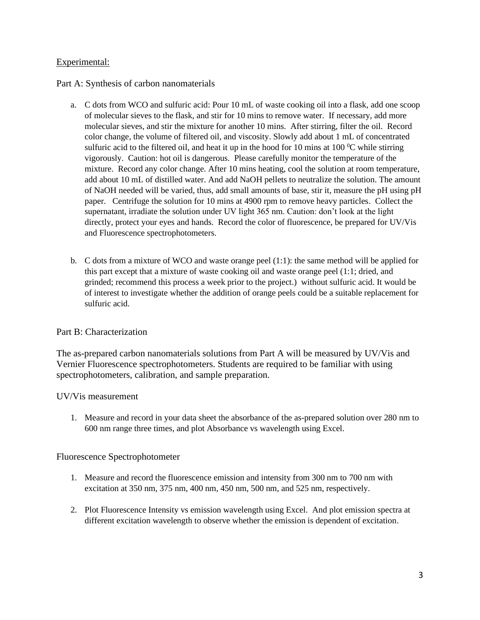### Experimental:

Part A: Synthesis of carbon nanomaterials

- a. C dots from WCO and sulfuric acid: Pour 10 mL of waste cooking oil into a flask, add one scoop of molecular sieves to the flask, and stir for 10 mins to remove water. If necessary, add more molecular sieves, and stir the mixture for another 10 mins. After stirring, filter the oil. Record color change, the volume of filtered oil, and viscosity. Slowly add about 1 mL of concentrated sulfuric acid to the filtered oil, and heat it up in the hood for 10 mins at 100  $^{\circ}$ C while stirring vigorously. Caution: hot oil is dangerous. Please carefully monitor the temperature of the mixture. Record any color change. After 10 mins heating, cool the solution at room temperature, add about 10 mL of distilled water. And add NaOH pellets to neutralize the solution. The amount of NaOH needed will be varied, thus, add small amounts of base, stir it, measure the pH using pH paper. Centrifuge the solution for 10 mins at 4900 rpm to remove heavy particles. Collect the supernatant, irradiate the solution under UV light 365 nm. Caution: don't look at the light directly, protect your eyes and hands. Record the color of fluorescence, be prepared for UV/Vis and Fluorescence spectrophotometers.
- b. C dots from a mixture of WCO and waste orange peel (1:1): the same method will be applied for this part except that a mixture of waste cooking oil and waste orange peel (1:1; dried, and grinded; recommend this process a week prior to the project.) without sulfuric acid. It would be of interest to investigate whether the addition of orange peels could be a suitable replacement for sulfuric acid.

### Part B: Characterization

The as-prepared carbon nanomaterials solutions from Part A will be measured by UV/Vis and Vernier Fluorescence spectrophotometers. Students are required to be familiar with using spectrophotometers, calibration, and sample preparation.

### UV/Vis measurement

1. Measure and record in your data sheet the absorbance of the as-prepared solution over 280 nm to 600 nm range three times, and plot Absorbance vs wavelength using Excel.

### Fluorescence Spectrophotometer

- 1. Measure and record the fluorescence emission and intensity from 300 nm to 700 nm with excitation at 350 nm, 375 nm, 400 nm, 450 nm, 500 nm, and 525 nm, respectively.
- 2. Plot Fluorescence Intensity vs emission wavelength using Excel. And plot emission spectra at different excitation wavelength to observe whether the emission is dependent of excitation.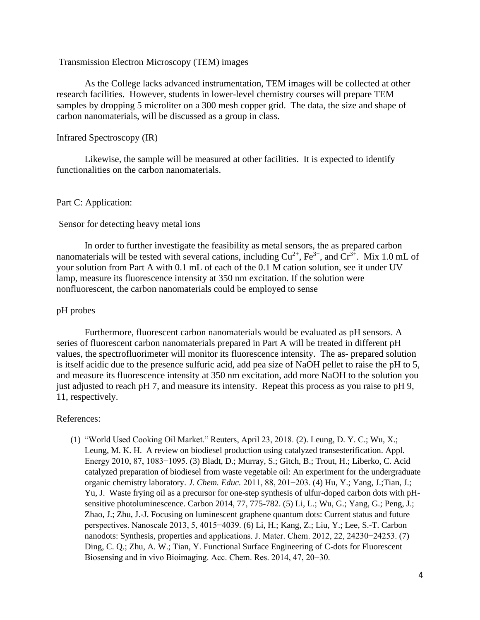#### Transmission Electron Microscopy (TEM) images

As the College lacks advanced instrumentation, TEM images will be collected at other research facilities. However, students in lower-level chemistry courses will prepare TEM samples by dropping 5 microliter on a 300 mesh copper grid. The data, the size and shape of carbon nanomaterials, will be discussed as a group in class.

#### Infrared Spectroscopy (IR)

Likewise, the sample will be measured at other facilities. It is expected to identify functionalities on the carbon nanomaterials.

#### Part C: Application:

#### Sensor for detecting heavy metal ions

In order to further investigate the feasibility as metal sensors, the as prepared carbon nanomaterials will be tested with several cations, including  $Cu^{2+}$ ,  $Fe^{3+}$ , and  $Cr^{3+}$ . Mix 1.0 mL of your solution from Part A with 0.1 mL of each of the 0.1 M cation solution, see it under UV lamp, measure its fluorescence intensity at 350 nm excitation. If the solution were nonfluorescent, the carbon nanomaterials could be employed to sense

#### pH probes

Furthermore, fluorescent carbon nanomaterials would be evaluated as pH sensors. A series of fluorescent carbon nanomaterials prepared in Part A will be treated in different pH values, the spectrofluorimeter will monitor its fluorescence intensity. The as- prepared solution is itself acidic due to the presence sulfuric acid, add pea size of NaOH pellet to raise the pH to 5, and measure its fluorescence intensity at 350 nm excitation, add more NaOH to the solution you just adjusted to reach pH 7, and measure its intensity. Repeat this process as you raise to pH 9, 11, respectively.

#### References:

(1) "World Used Cooking Oil Market." Reuters, April 23, 2018. (2). Leung, D. Y. C.; Wu, X.; Leung, M. K. H. A review on biodiesel production using catalyzed transesterification. Appl. Energy 2010, 87, 1083−1095. (3) Bladt, D.; Murray, S.; Gitch, B.; Trout, H.; Liberko, C. Acid catalyzed preparation of biodiesel from waste vegetable oil: An experiment for the undergraduate organic chemistry laboratory. *J. Chem. Educ.* 2011, 88, 201−203. (4) Hu, Y.; Yang, J.;Tian, J.; Yu, J. Waste frying oil as a precursor for one-step synthesis of ulfur-doped carbon dots with pHsensitive photoluminescence. Carbon 2014, 77, 775-782. (5) Li, L.; Wu, G.; Yang, G.; Peng, J.; Zhao, J.; Zhu, J.-J. Focusing on luminescent graphene quantum dots: Current status and future perspectives. Nanoscale 2013, 5, 4015−4039. (6) Li, H.; Kang, Z.; Liu, Y.; Lee, S.-T. Carbon nanodots: Synthesis, properties and applications. J. Mater. Chem. 2012, 22, 24230−24253. (7) Ding, C. Q.; Zhu, A. W.; Tian, Y. Functional Surface Engineering of C-dots for Fluorescent Biosensing and in vivo Bioimaging. Acc. Chem. Res. 2014, 47, 20−30.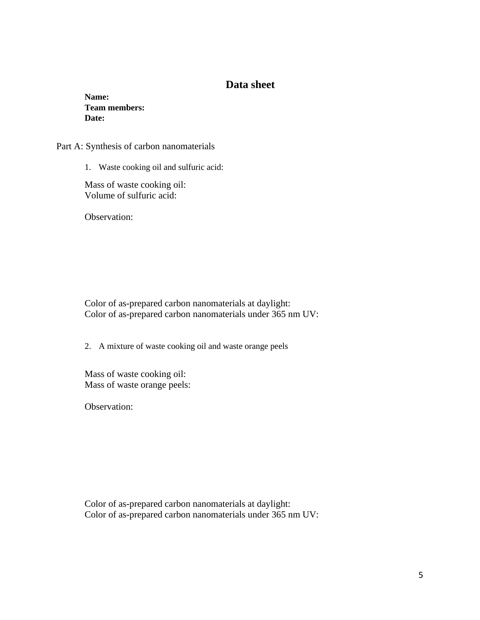# **Data sheet**

**Name: Team members: Date:**

Part A: Synthesis of carbon nanomaterials

1. Waste cooking oil and sulfuric acid:

Mass of waste cooking oil: Volume of sulfuric acid:

Observation:

Color of as-prepared carbon nanomaterials at daylight: Color of as-prepared carbon nanomaterials under 365 nm UV:

2. A mixture of waste cooking oil and waste orange peels

Mass of waste cooking oil: Mass of waste orange peels:

Observation:

Color of as-prepared carbon nanomaterials at daylight: Color of as-prepared carbon nanomaterials under 365 nm UV: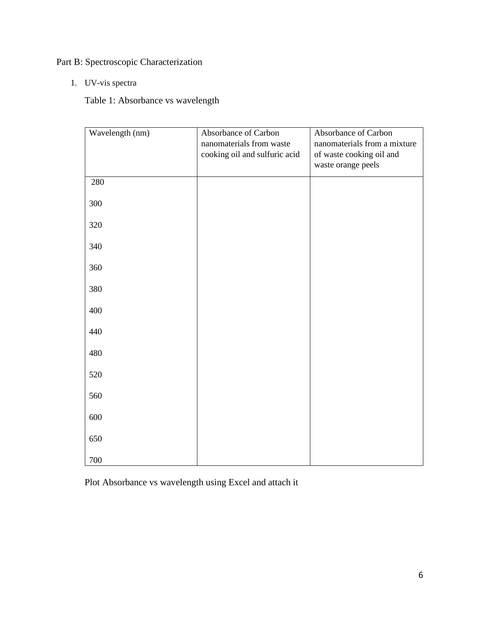Part B: Spectroscopic Characterization

1. UV-vis spectra

Table 1: Absorbance vs wavelength

| Wavelength (nm) | Absorbance of Carbon<br>nanomaterials from waste<br>cooking oil and sulfuric acid | Absorbance of Carbon<br>nanomaterials from a mixture<br>of waste cooking oil and<br>waste orange peels |
|-----------------|-----------------------------------------------------------------------------------|--------------------------------------------------------------------------------------------------------|
| 280             |                                                                                   |                                                                                                        |
| 300             |                                                                                   |                                                                                                        |
| 320             |                                                                                   |                                                                                                        |
| 340             |                                                                                   |                                                                                                        |
| 360             |                                                                                   |                                                                                                        |
| 380             |                                                                                   |                                                                                                        |
| 400             |                                                                                   |                                                                                                        |
| 440             |                                                                                   |                                                                                                        |
| 480             |                                                                                   |                                                                                                        |
| 520             |                                                                                   |                                                                                                        |
| 560             |                                                                                   |                                                                                                        |
| 600             |                                                                                   |                                                                                                        |
| 650             |                                                                                   |                                                                                                        |
| 700             |                                                                                   |                                                                                                        |

Plot Absorbance vs wavelength using Excel and attach it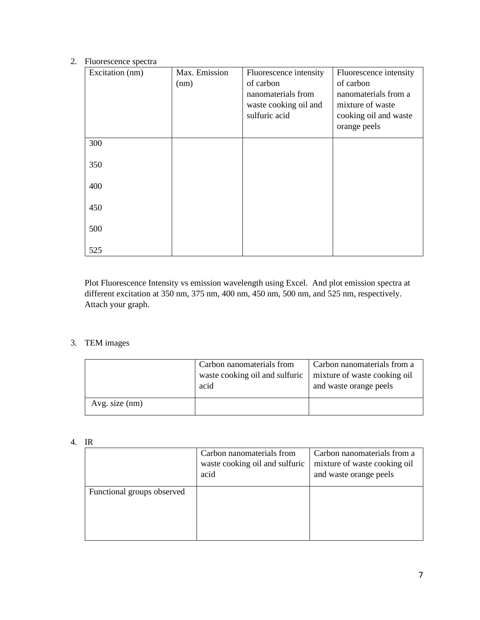#### 2. Fluorescence spectra

| Excitation (nm) | Max. Emission<br>(nm) | Fluorescence intensity<br>of carbon<br>nanomaterials from<br>waste cooking oil and<br>sulfuric acid | Fluorescence intensity<br>of carbon<br>nanomaterials from a<br>mixture of waste<br>cooking oil and waste<br>orange peels |
|-----------------|-----------------------|-----------------------------------------------------------------------------------------------------|--------------------------------------------------------------------------------------------------------------------------|
| 300             |                       |                                                                                                     |                                                                                                                          |
| 350             |                       |                                                                                                     |                                                                                                                          |
| 400             |                       |                                                                                                     |                                                                                                                          |
| 450             |                       |                                                                                                     |                                                                                                                          |
| 500<br>525      |                       |                                                                                                     |                                                                                                                          |

Plot Fluorescence Intensity vs emission wavelength using Excel. And plot emission spectra at different excitation at 350 nm, 375 nm, 400 nm, 450 nm, 500 nm, and 525 nm, respectively. Attach your graph.

### 3. TEM images

|                | Carbon nanomaterials from<br>waste cooking oil and sulfuric<br>acid | Carbon nanomaterials from a<br>mixture of waste cooking oil<br>and waste orange peels |
|----------------|---------------------------------------------------------------------|---------------------------------------------------------------------------------------|
| Avg. size (nm) |                                                                     |                                                                                       |

#### 4. IR

|                            | Carbon nanomaterials from<br>waste cooking oil and sulfuric<br>acid | Carbon nanomaterials from a<br>mixture of waste cooking oil<br>and waste orange peels |
|----------------------------|---------------------------------------------------------------------|---------------------------------------------------------------------------------------|
| Functional groups observed |                                                                     |                                                                                       |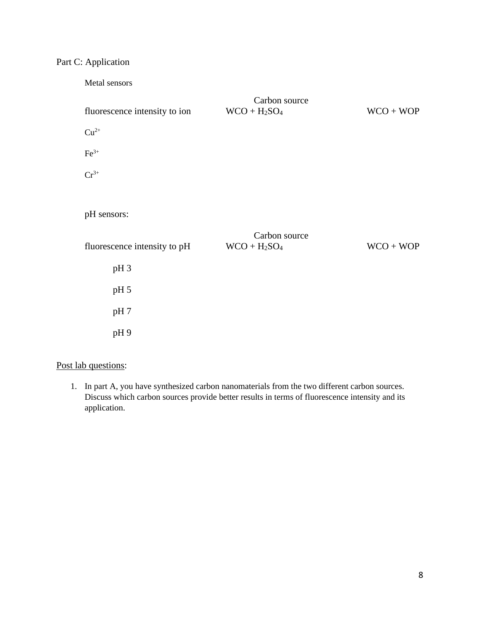# Part C: Application

| Metal sensors                 |                                  |             |
|-------------------------------|----------------------------------|-------------|
| fluorescence intensity to ion | Carbon source<br>$WCO + H_2SO_4$ | $WCO + WOP$ |
| $Cu2+$                        |                                  |             |
| $\rm Fe^{3+}$                 |                                  |             |
| $Cr^{3+}$                     |                                  |             |
|                               |                                  |             |
| pH sensors:                   |                                  |             |
|                               |                                  |             |
|                               | Carbon source                    |             |
| fluorescence intensity to pH  | $WCO + H_2SO_4$                  | $WCO + WOP$ |
| pH <sub>3</sub>               |                                  |             |
| pH 5                          |                                  |             |
| pH 7                          |                                  |             |
| pH9                           |                                  |             |

# Post lab questions:

1. In part A, you have synthesized carbon nanomaterials from the two different carbon sources. Discuss which carbon sources provide better results in terms of fluorescence intensity and its application.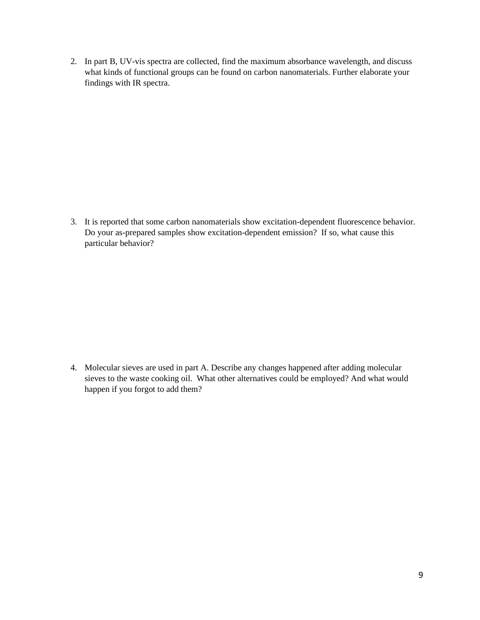2. In part B, UV-vis spectra are collected, find the maximum absorbance wavelength, and discuss what kinds of functional groups can be found on carbon nanomaterials. Further elaborate your findings with IR spectra.

3. It is reported that some carbon nanomaterials show excitation-dependent fluorescence behavior. Do your as-prepared samples show excitation-dependent emission? If so, what cause this particular behavior?

4. Molecular sieves are used in part A. Describe any changes happened after adding molecular sieves to the waste cooking oil. What other alternatives could be employed? And what would happen if you forgot to add them?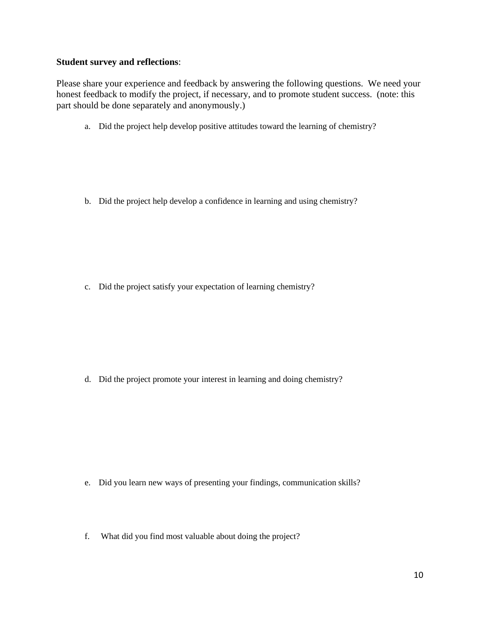## **Student survey and reflections**:

Please share your experience and feedback by answering the following questions. We need your honest feedback to modify the project, if necessary, and to promote student success. (note: this part should be done separately and anonymously.)

a. Did the project help develop positive attitudes toward the learning of chemistry?

b. Did the project help develop a confidence in learning and using chemistry?

c. Did the project satisfy your expectation of learning chemistry?

d. Did the project promote your interest in learning and doing chemistry?

- e. Did you learn new ways of presenting your findings, communication skills?
- f. What did you find most valuable about doing the project?